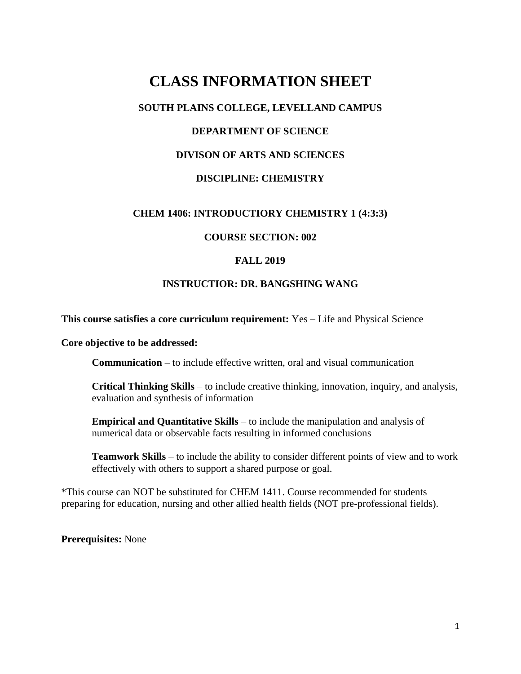# **CLASS INFORMATION SHEET**

# **SOUTH PLAINS COLLEGE, LEVELLAND CAMPUS**

# **DEPARTMENT OF SCIENCE**

## **DIVISON OF ARTS AND SCIENCES**

## **DISCIPLINE: CHEMISTRY**

#### **CHEM 1406: INTRODUCTIORY CHEMISTRY 1 (4:3:3)**

#### **COURSE SECTION: 002**

#### **FALL 2019**

#### **INSTRUCTIOR: DR. BANGSHING WANG**

**This course satisfies a core curriculum requirement:** Yes – Life and Physical Science

**Core objective to be addressed:**

**Communication** – to include effective written, oral and visual communication

**Critical Thinking Skills** – to include creative thinking, innovation, inquiry, and analysis, evaluation and synthesis of information

**Empirical and Quantitative Skills** – to include the manipulation and analysis of numerical data or observable facts resulting in informed conclusions

**Teamwork Skills** – to include the ability to consider different points of view and to work effectively with others to support a shared purpose or goal.

\*This course can NOT be substituted for CHEM 1411. Course recommended for students preparing for education, nursing and other allied health fields (NOT pre-professional fields).

**Prerequisites:** None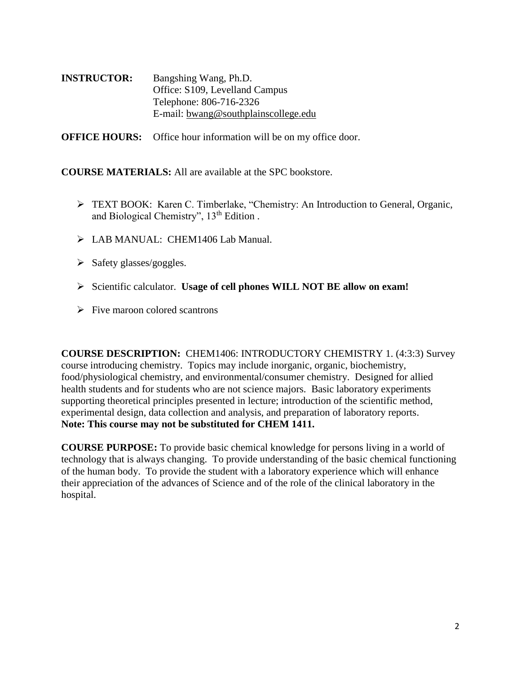**INSTRUCTOR:** Bangshing Wang, Ph.D. Office: S109, Levelland Campus Telephone: 806-716-2326 E-mail: [bwang@southplainscollege.edu](mailto:bwang@southplainscollege.edu)

**OFFICE HOURS:** Office hour information will be on my office door.

**COURSE MATERIALS:** All are available at the SPC bookstore.

- TEXT BOOK: Karen C. Timberlake, "Chemistry: An Introduction to General, Organic, and Biological Chemistry", 13<sup>th</sup> Edition.
- > LAB MANUAL: CHEM1406 Lab Manual.
- $\triangleright$  Safety glasses/goggles.
- Scientific calculator. **Usage of cell phones WILL NOT BE allow on exam!**
- $\triangleright$  Five maroon colored scantrons

**COURSE DESCRIPTION:** CHEM1406: INTRODUCTORY CHEMISTRY 1. (4:3:3) Survey course introducing chemistry. Topics may include inorganic, organic, biochemistry, food/physiological chemistry, and environmental/consumer chemistry. Designed for allied health students and for students who are not science majors. Basic laboratory experiments supporting theoretical principles presented in lecture; introduction of the scientific method, experimental design, data collection and analysis, and preparation of laboratory reports. **Note: This course may not be substituted for CHEM 1411.**

**COURSE PURPOSE:** To provide basic chemical knowledge for persons living in a world of technology that is always changing. To provide understanding of the basic chemical functioning of the human body. To provide the student with a laboratory experience which will enhance their appreciation of the advances of Science and of the role of the clinical laboratory in the hospital.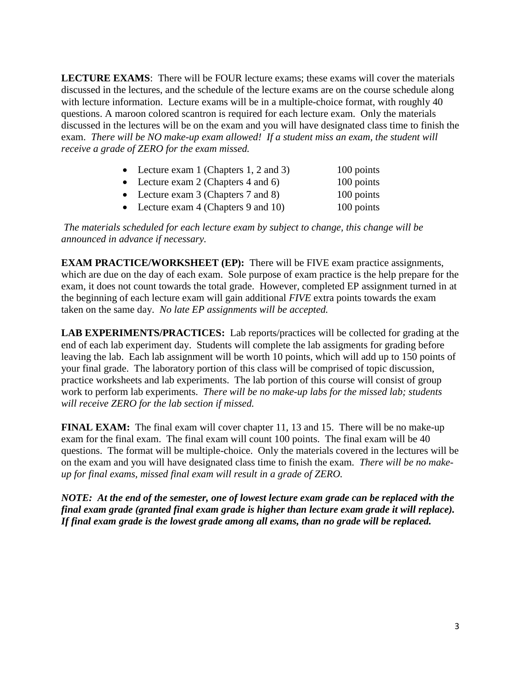**LECTURE EXAMS**: There will be FOUR lecture exams; these exams will cover the materials discussed in the lectures, and the schedule of the lecture exams are on the course schedule along with lecture information. Lecture exams will be in a multiple-choice format, with roughly 40 questions. A maroon colored scantron is required for each lecture exam. Only the materials discussed in the lectures will be on the exam and you will have designated class time to finish the exam. *There will be NO make-up exam allowed! If a student miss an exam, the student will receive a grade of ZERO for the exam missed.*

| • Lecture exam 1 (Chapters 1, 2 and 3) | 100 points |
|----------------------------------------|------------|
| • Lecture exam 2 (Chapters 4 and 6)    | 100 points |
| • Lecture exam $3$ (Chapters 7 and 8)  | 100 points |
| • Lecture exam $4$ (Chapters 9 and 10) | 100 points |
|                                        |            |

*The materials scheduled for each lecture exam by subject to change, this change will be announced in advance if necessary.*

**EXAM PRACTICE/WORKSHEET (EP):** There will be FIVE exam practice assignments, which are due on the day of each exam. Sole purpose of exam practice is the help prepare for the exam, it does not count towards the total grade. However, completed EP assignment turned in at the beginning of each lecture exam will gain additional *FIVE* extra points towards the exam taken on the same day. *No late EP assignments will be accepted.*

**LAB EXPERIMENTS/PRACTICES:** Lab reports/practices will be collected for grading at the end of each lab experiment day. Students will complete the lab assigments for grading before leaving the lab. Each lab assignment will be worth 10 points, which will add up to 150 points of your final grade. The laboratory portion of this class will be comprised of topic discussion, practice worksheets and lab experiments. The lab portion of this course will consist of group work to perform lab experiments. *There will be no make-up labs for the missed lab; students will receive ZERO for the lab section if missed.*

**FINAL EXAM:** The final exam will cover chapter 11, 13 and 15. There will be no make-up exam for the final exam. The final exam will count 100 points. The final exam will be 40 questions. The format will be multiple-choice. Only the materials covered in the lectures will be on the exam and you will have designated class time to finish the exam. *There will be no makeup for final exams, missed final exam will result in a grade of ZERO.*

*NOTE: At the end of the semester, one of lowest lecture exam grade can be replaced with the final exam grade (granted final exam grade is higher than lecture exam grade it will replace). If final exam grade is the lowest grade among all exams, than no grade will be replaced.*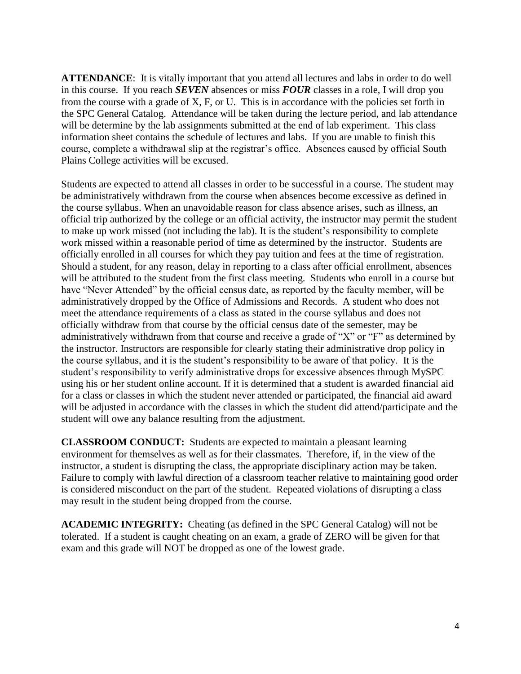**ATTENDANCE**: It is vitally important that you attend all lectures and labs in order to do well in this course. If you reach *SEVEN* absences or miss *FOUR* classes in a role, I will drop you from the course with a grade of X, F, or U. This is in accordance with the policies set forth in the SPC General Catalog. Attendance will be taken during the lecture period, and lab attendance will be determine by the lab assignments submitted at the end of lab experiment. This class information sheet contains the schedule of lectures and labs. If you are unable to finish this course, complete a withdrawal slip at the registrar's office. Absences caused by official South Plains College activities will be excused.

Students are expected to attend all classes in order to be successful in a course. The student may be administratively withdrawn from the course when absences become excessive as defined in the course syllabus. When an unavoidable reason for class absence arises, such as illness, an official trip authorized by the college or an official activity, the instructor may permit the student to make up work missed (not including the lab). It is the student's responsibility to complete work missed within a reasonable period of time as determined by the instructor. Students are officially enrolled in all courses for which they pay tuition and fees at the time of registration. Should a student, for any reason, delay in reporting to a class after official enrollment, absences will be attributed to the student from the first class meeting. Students who enroll in a course but have "Never Attended" by the official census date, as reported by the faculty member, will be administratively dropped by the Office of Admissions and Records. A student who does not meet the attendance requirements of a class as stated in the course syllabus and does not officially withdraw from that course by the official census date of the semester, may be administratively withdrawn from that course and receive a grade of "X" or "F" as determined by the instructor. Instructors are responsible for clearly stating their administrative drop policy in the course syllabus, and it is the student's responsibility to be aware of that policy. It is the student's responsibility to verify administrative drops for excessive absences through MySPC using his or her student online account. If it is determined that a student is awarded financial aid for a class or classes in which the student never attended or participated, the financial aid award will be adjusted in accordance with the classes in which the student did attend/participate and the student will owe any balance resulting from the adjustment.

**CLASSROOM CONDUCT:** Students are expected to maintain a pleasant learning environment for themselves as well as for their classmates. Therefore, if, in the view of the instructor, a student is disrupting the class, the appropriate disciplinary action may be taken. Failure to comply with lawful direction of a classroom teacher relative to maintaining good order is considered misconduct on the part of the student. Repeated violations of disrupting a class may result in the student being dropped from the course.

**ACADEMIC INTEGRITY:** Cheating (as defined in the SPC General Catalog) will not be tolerated. If a student is caught cheating on an exam, a grade of ZERO will be given for that exam and this grade will NOT be dropped as one of the lowest grade.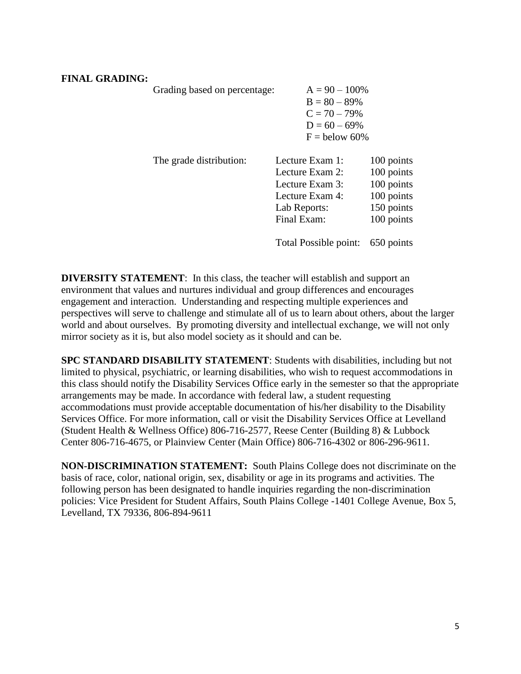## **FINAL GRADING:**

| Grading based on percentage: | $A = 90 - 100\%$<br>$B = 80 - 89%$<br>$C = 70 - 79%$<br>$D = 60 - 69\%$<br>$F =$ below 60%              |                                                                                  |
|------------------------------|---------------------------------------------------------------------------------------------------------|----------------------------------------------------------------------------------|
| The grade distribution:      | Lecture Exam 1:<br>Lecture Exam 2:<br>Lecture Exam 3:<br>Lecture Exam 4:<br>Lab Reports:<br>Final Exam: | 100 points<br>100 points<br>100 points<br>100 points<br>150 points<br>100 points |
|                              | Total Possible point:                                                                                   | 650 points                                                                       |

**DIVERSITY STATEMENT:** In this class, the teacher will establish and support an environment that values and nurtures individual and group differences and encourages engagement and interaction. Understanding and respecting multiple experiences and perspectives will serve to challenge and stimulate all of us to learn about others, about the larger world and about ourselves. By promoting diversity and intellectual exchange, we will not only mirror society as it is, but also model society as it should and can be.

**SPC STANDARD DISABILITY STATEMENT**: Students with disabilities, including but not limited to physical, psychiatric, or learning disabilities, who wish to request accommodations in this class should notify the Disability Services Office early in the semester so that the appropriate arrangements may be made. In accordance with federal law, a student requesting accommodations must provide acceptable documentation of his/her disability to the Disability Services Office. For more information, call or visit the Disability Services Office at Levelland (Student Health & Wellness Office) 806-716-2577, Reese Center (Building 8) & Lubbock Center 806-716-4675, or Plainview Center (Main Office) 806-716-4302 or 806-296-9611.

**NON-DISCRIMINATION STATEMENT:** South Plains College does not discriminate on the basis of race, color, national origin, sex, disability or age in its programs and activities. The following person has been designated to handle inquiries regarding the non-discrimination policies: Vice President for Student Affairs, South Plains College -1401 College Avenue, Box 5, Levelland, TX 79336, 806-894-9611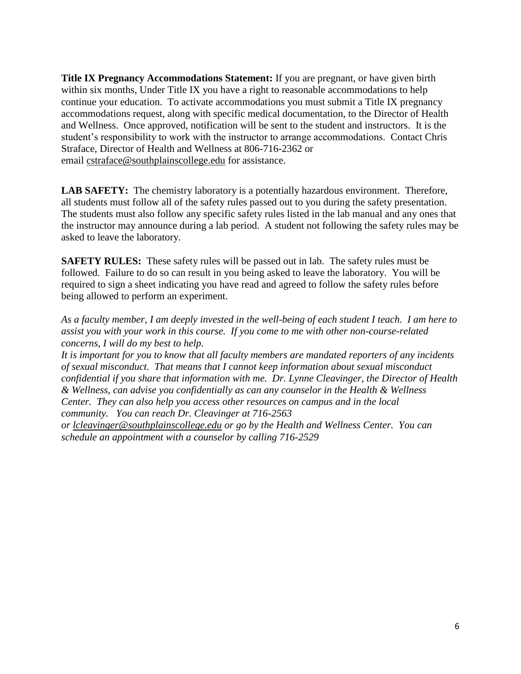**Title IX Pregnancy Accommodations Statement:** If you are pregnant, or have given birth within six months, Under Title IX you have a right to reasonable accommodations to help continue your education. To activate accommodations you must submit a Title IX pregnancy accommodations request, along with specific medical documentation, to the Director of Health and Wellness. Once approved, notification will be sent to the student and instructors. It is the student's responsibility to work with the instructor to arrange accommodations. Contact Chris Straface, Director of Health and Wellness at 806-716-2362 or email [cstraface@southplainscollege.edu](mailto:cstraface@southplainscollege.edu) for assistance.

**LAB SAFETY:** The chemistry laboratory is a potentially hazardous environment. Therefore, all students must follow all of the safety rules passed out to you during the safety presentation. The students must also follow any specific safety rules listed in the lab manual and any ones that the instructor may announce during a lab period. A student not following the safety rules may be asked to leave the laboratory.

**SAFETY RULES:** These safety rules will be passed out in lab. The safety rules must be followed. Failure to do so can result in you being asked to leave the laboratory. You will be required to sign a sheet indicating you have read and agreed to follow the safety rules before being allowed to perform an experiment.

*As a faculty member, I am deeply invested in the well-being of each student I teach. I am here to assist you with your work in this course. If you come to me with other non-course-related concerns, I will do my best to help.*

*It is important for you to know that all faculty members are mandated reporters of any incidents of sexual misconduct. That means that I cannot keep information about sexual misconduct confidential if you share that information with me. Dr. Lynne Cleavinger, the Director of Health & Wellness, can advise you confidentially as can any counselor in the Health & Wellness Center. They can also help you access other resources on campus and in the local community. You can reach Dr. Cleavinger at 716-2563* 

*or [lcleavinger@southplainscollege.edu](mailto:lcleavinger@southplainscollege.edu) or go by the Health and Wellness Center. You can schedule an appointment with a counselor by calling 716-2529*